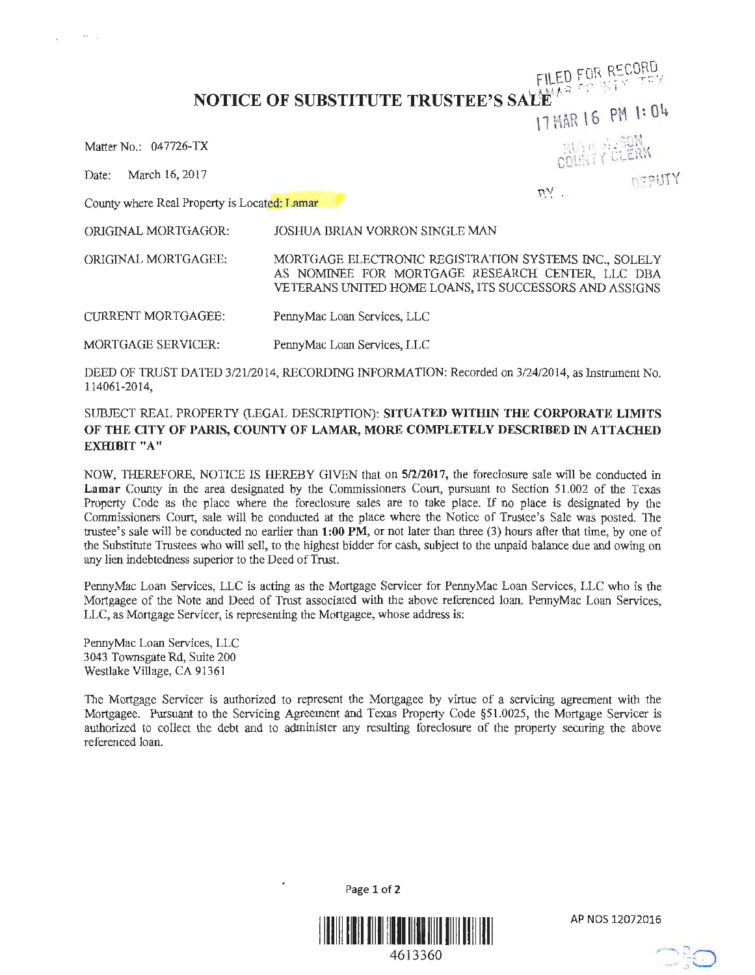**NOTICE OF SUBSTITUTE TRUSTEE'S SALL**  $\mathbf{F}^{\mathcal{P}^{\mathcal{P}^{\mathcal{P}^{\mathcal{P}}}}$ 

Matter No.: 047726-TX

.... <sup>~</sup>

Date: March 16, 2017 **11**TY

County where Real Property is Located: Lamar

ORIGINAL MORTGAGOR: JOSHUA BRIAN VORRON SINGLE MAN

ORIGINAL MORTGAGEE:

CURRENT MORTGAGEE: PennyMac Loan Services, LLC

MORTGAGE SERVICER: PennyMac Loan Services, LLC

DEED OF TRUST DATED 3/21/2014, RECORDING INFORMATION: Recorded on 3/24/2014, as Instrument No. 114061-2014,

MORTGAGE ELECTRONIC REGISTRATION SYSTEMS INC., SOLELY AS NOMINEE FOR MORTGAGE RESEARCH CENTER, LLC DBA VETERANS UNITED HOME LOANS, ITS SUCCESSORS AND ASSIGNS

## SUBJECT REAL PROPERTY (LEGAL DESCRIPTION): **SITUATED WITHIN THE CORPORATE LIMITS OF THE CITY OF PARIS, COUNTY OF LAMAR, MORE COMPLETELY DESCRIBED IN ATTACHED EXHIBIT "A"**

NOW, THEREFORE, NOTICE IS HEREBY GIVEN that on **5/2/2017,** the foreclosure sale will be conducted in **Lamar** County in the area designated by the Commissioners Court, pursuant to Section 51.002 of the Texas Property Code as the place where the foreclosure sales are to take place. If no place is designated by the Commissioners Court, sale will be conducted at the place where the Notice of Trustee's Sale was posted. The trustee's sale will be conducted no earlier than **1:00 PM,** or not later than three (3) hours after that time, by one of the Substitute Trustees who will sell, to the highest bidder for cash, subject to the unpaid balance due and owing on any lien indebtedness superior to the Deed of Trust.

PennyMac Loan Services, LLC is acting as the Mortgage Servicer for PennyMac Loan Services, LLC who is the Mortgagee of the Note and Deed of Trust associated with the above referenced loan. PennyMac Loan Services, LLC, as Mortgage Servicer, is representing the Mortgagee, whose address is:

PennyMac Loan Services, LLC 3043 Townsgate Rd, Suite 200 Westlake Village, CA 91361

The Mortgage Servicer is authorized to represent the Mortgagee by virtue of a servicing agreement with the Mortgagee. Pursuant to the Servicing Agreement and Texas Property Code §51.0025, the Mortgage Servicer is authorized to collect the debt and to administer any resulting foreclosure of the property securing the above referenced loan.

Page **1** of2

**I LLLL LLLL LLLL LLLL LLLLL LLLLL** 

AP NOS 12072016



1  $17$  MAR 16 PM 1:04 **COUNTY CLERN** 

FILED FOR RECORD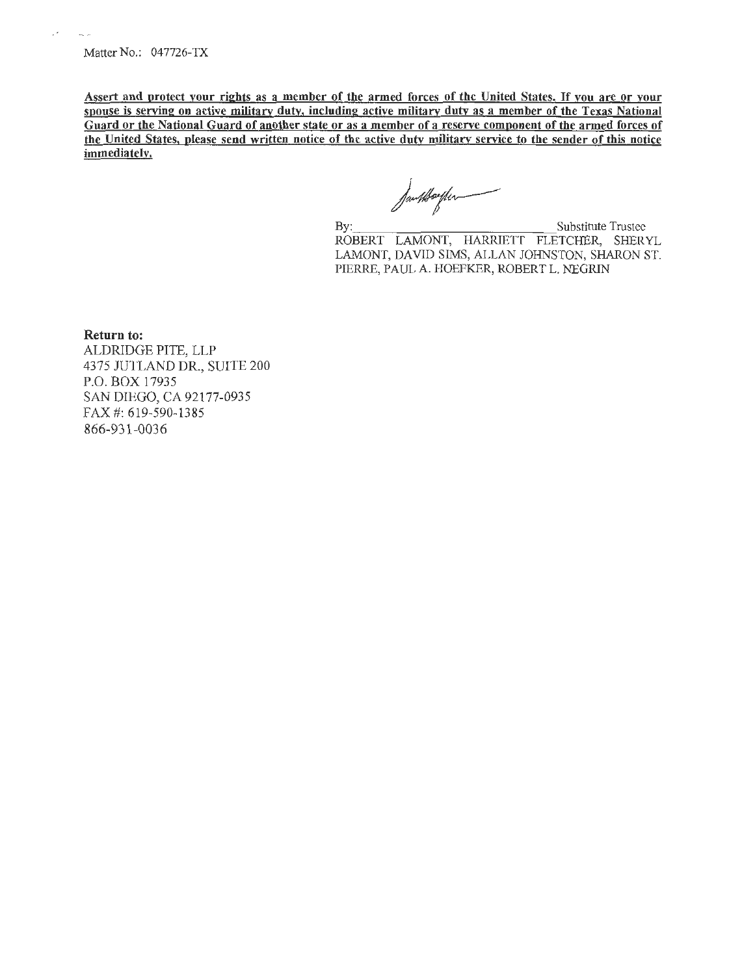$\cdot$ 

 $\sim$   $\sim$ 

Assert and protect your rights as a member of the armed forces of the United States. If you are or your spouse is serving on active military duty, including active military dutv as a member of the Texas National Guard or the National Guard of another state or as a member of a reserve component of the armed forces of the United States, please send written notice of the active duty military service to the sender of this notice immediately.

Jamtkorfum

By: Substitute Trustee ROBERT LAMONT, HARRIETT FLETCHER, SHERYL LAMONT, DAVID SIMS, ALLAN JOHNSTON, SHARON ST. PIERRE, PAUL A. HOEFKER, ROBERT L. NEGRIN

Return to:

ALDRIDGE PITE, LLP 4375 JUTLAND DR., SUITE 200 P.O. BOX 17935 SAN DIEGO, CA 92177-0935 FAX#: 619-590-1385 866-931-0036